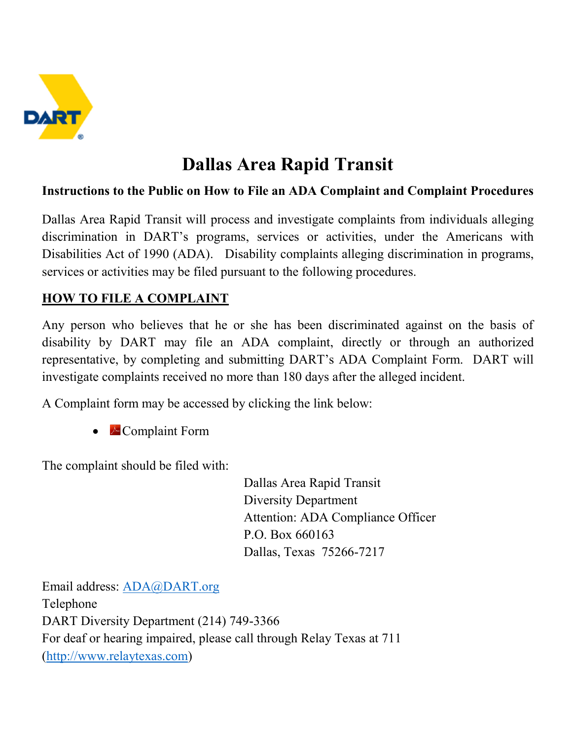

# **Dallas Area Rapid Transit**

#### **Instructions to the Public on How to File an ADA Complaint and Complaint Procedures**

Dallas Area Rapid Transit will process and investigate complaints from individuals alleging discrimination in DART's programs, services or activities, under the Americans with Disabilities Act of 1990 (ADA). Disability complaints alleging discrimination in programs, services or activities may be filed pursuant to the following procedures.

#### **HOW TO FILE A COMPLAINT**

Any person who believes that he or she has been discriminated against on the basis of disability by DART may file an ADA complaint, directly or through an authorized representative, by completing and submitting DART's ADA Complaint Form. DART will investigate complaints received no more than 180 days after the alleged incident.

A Complaint form may be accessed by clicking the link below:

• **Complaint Form** 

The complaint should be filed with:

Dallas Area Rapid Transit Diversity Department Attention: ADA Compliance Officer P.O. Box 660163 Dallas, Texas 75266-7217

Email address: [ADA@DART.org](mailto:ADA@DART.org) Telephone DART Diversity Department (214) 749-3366 For deaf or hearing impaired, please call through Relay Texas at 711 [\(http://www.relaytexas.com\)](http://www.relaytexas.com/)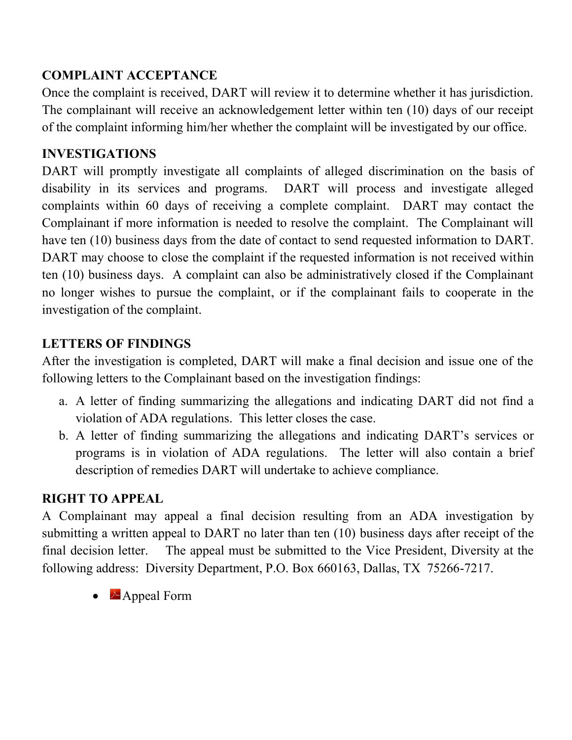### **COMPLAINT ACCEPTANCE**

Once the complaint is received, DART will review it to determine whether it has jurisdiction. The complainant will receive an acknowledgement letter within ten (10) days of our receipt of the complaint informing him/her whether the complaint will be investigated by our office.

# **INVESTIGATIONS**

DART will promptly investigate all complaints of alleged discrimination on the basis of disability in its services and programs. DART will process and investigate alleged complaints within 60 days of receiving a complete complaint. DART may contact the Complainant if more information is needed to resolve the complaint. The Complainant will have ten (10) business days from the date of contact to send requested information to DART. DART may choose to close the complaint if the requested information is not received within ten (10) business days. A complaint can also be administratively closed if the Complainant no longer wishes to pursue the complaint, or if the complainant fails to cooperate in the investigation of the complaint.

# **LETTERS OF FINDINGS**

After the investigation is completed, DART will make a final decision and issue one of the following letters to the Complainant based on the investigation findings:

- a. A letter of finding summarizing the allegations and indicating DART did not find a violation of ADA regulations. This letter closes the case.
- b. A letter of finding summarizing the allegations and indicating DART's services or programs is in violation of ADA regulations. The letter will also contain a brief description of remedies DART will undertake to achieve compliance.

#### **RIGHT TO APPEAL**

A Complainant may appeal a final decision resulting from an ADA investigation by submitting a written appeal to DART no later than ten (10) business days after receipt of the final decision letter. The appeal must be submitted to the Vice President, Diversity at the following address: Diversity Department, P.O. Box 660163, Dallas, TX 75266-7217.

• Appeal Form